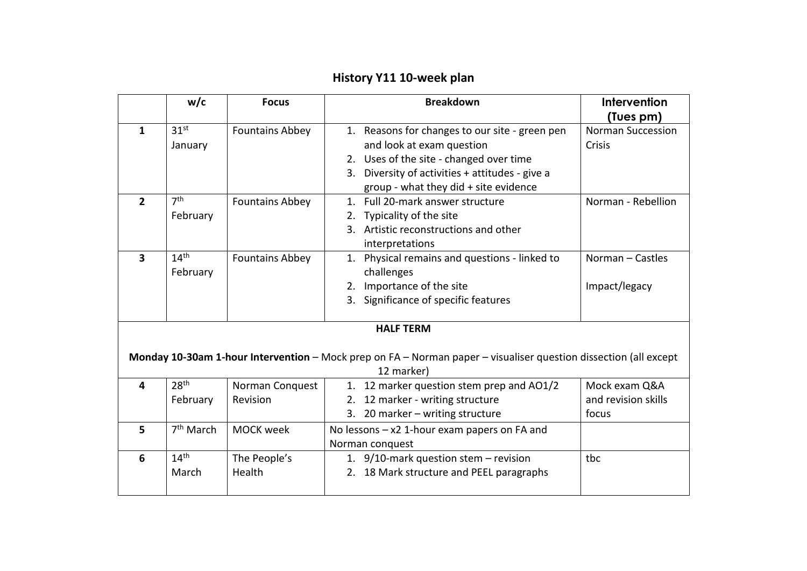## **History Y11 10-week plan**

|                                                                                                                  | w/c                   | <b>Focus</b>           | <b>Breakdown</b>                                | Intervention             |  |  |  |
|------------------------------------------------------------------------------------------------------------------|-----------------------|------------------------|-------------------------------------------------|--------------------------|--|--|--|
|                                                                                                                  |                       |                        |                                                 | (Tues pm)                |  |  |  |
| $\mathbf{1}$                                                                                                     | 31 <sup>st</sup>      | <b>Fountains Abbey</b> | 1. Reasons for changes to our site - green pen  | <b>Norman Succession</b> |  |  |  |
|                                                                                                                  | January               |                        | and look at exam question                       | Crisis                   |  |  |  |
|                                                                                                                  |                       |                        | 2. Uses of the site - changed over time         |                          |  |  |  |
|                                                                                                                  |                       |                        | 3. Diversity of activities + attitudes - give a |                          |  |  |  |
|                                                                                                                  |                       |                        | group - what they did + site evidence           |                          |  |  |  |
| $\overline{2}$                                                                                                   | 7 <sup>th</sup>       | <b>Fountains Abbey</b> | 1. Full 20-mark answer structure                | Norman - Rebellion       |  |  |  |
|                                                                                                                  | February              |                        | Typicality of the site<br>2.                    |                          |  |  |  |
|                                                                                                                  |                       |                        | 3. Artistic reconstructions and other           |                          |  |  |  |
|                                                                                                                  |                       |                        | interpretations                                 |                          |  |  |  |
| $\overline{\mathbf{3}}$                                                                                          | 14 <sup>th</sup>      | <b>Fountains Abbey</b> | 1. Physical remains and questions - linked to   | Norman - Castles         |  |  |  |
|                                                                                                                  | February              |                        | challenges                                      |                          |  |  |  |
|                                                                                                                  |                       |                        | 2. Importance of the site                       | Impact/legacy            |  |  |  |
|                                                                                                                  |                       |                        | 3. Significance of specific features            |                          |  |  |  |
|                                                                                                                  |                       |                        |                                                 |                          |  |  |  |
| <b>HALF TERM</b>                                                                                                 |                       |                        |                                                 |                          |  |  |  |
|                                                                                                                  |                       |                        |                                                 |                          |  |  |  |
| Monday 10-30am 1-hour Intervention - Mock prep on FA - Norman paper - visualiser question dissection (all except |                       |                        |                                                 |                          |  |  |  |
| 12 marker)                                                                                                       |                       |                        |                                                 |                          |  |  |  |
| $\overline{\mathbf{4}}$                                                                                          | 28 <sup>th</sup>      | Norman Conquest        | 1. 12 marker question stem prep and AO1/2       | Mock exam Q&A            |  |  |  |
|                                                                                                                  | February              | Revision               | 2. 12 marker - writing structure                | and revision skills      |  |  |  |
|                                                                                                                  |                       |                        | 3. 20 marker - writing structure                | focus                    |  |  |  |
| 5                                                                                                                | 7 <sup>th</sup> March | <b>MOCK week</b>       | No lessons $-x2$ 1-hour exam papers on FA and   |                          |  |  |  |
|                                                                                                                  |                       |                        | Norman conquest                                 |                          |  |  |  |
| 6                                                                                                                | 14 <sup>th</sup>      | The People's           | 1. 9/10-mark question stem - revision           | tbc                      |  |  |  |
|                                                                                                                  | March                 | Health                 | 2. 18 Mark structure and PEEL paragraphs        |                          |  |  |  |
|                                                                                                                  |                       |                        |                                                 |                          |  |  |  |